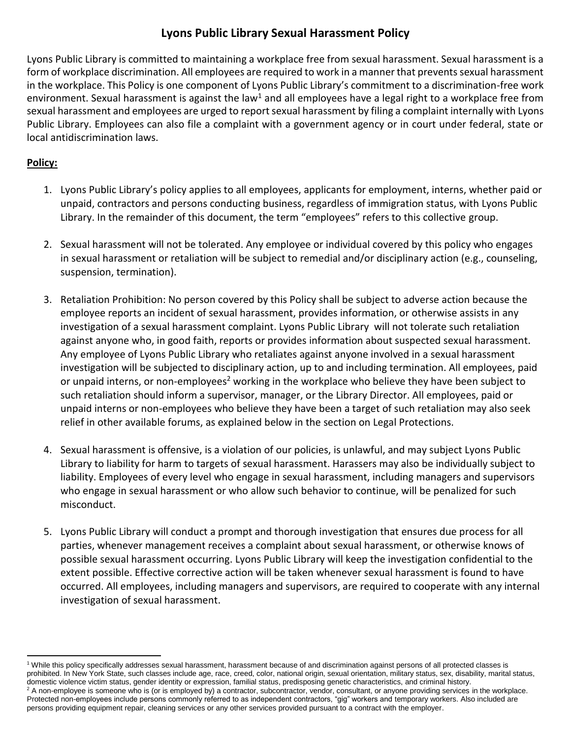# **Lyons Public Library Sexual Harassment Policy**

Lyons Public Library is committed to maintaining a workplace free from sexual harassment. Sexual harassment is a form of workplace discrimination. All employees are required to work in a manner that prevents sexual harassment in the workplace. This Policy is one component of Lyons Public Library's commitment to a discrimination-free work environment. Sexual harassment is against the law<sup>1</sup> and all employees have a legal right to a workplace free from sexual harassment and employees are urged to report sexual harassment by filing a complaint internally with Lyons Public Library. Employees can also file a complaint with a government agency or in court under federal, state or local antidiscrimination laws.

# **Policy:**

 $\overline{a}$ 

- 1. Lyons Public Library's policy applies to all employees, applicants for employment, interns, whether paid or unpaid, contractors and persons conducting business, regardless of immigration status, with Lyons Public Library. In the remainder of this document, the term "employees" refers to this collective group.
- 2. Sexual harassment will not be tolerated. Any employee or individual covered by this policy who engages in sexual harassment or retaliation will be subject to remedial and/or disciplinary action (e.g., counseling, suspension, termination).
- 3. Retaliation Prohibition: No person covered by this Policy shall be subject to adverse action because the employee reports an incident of sexual harassment, provides information, or otherwise assists in any investigation of a sexual harassment complaint. Lyons Public Library will not tolerate such retaliation against anyone who, in good faith, reports or provides information about suspected sexual harassment. Any employee of Lyons Public Library who retaliates against anyone involved in a sexual harassment investigation will be subjected to disciplinary action, up to and including termination. All employees, paid or unpaid interns, or non-employees<sup>2</sup> working in the workplace who believe they have been subject to such retaliation should inform a supervisor, manager, or the Library Director. All employees, paid or unpaid interns or non-employees who believe they have been a target of such retaliation may also seek relief in other available forums, as explained below in the section on Legal Protections.
- 4. Sexual harassment is offensive, is a violation of our policies, is unlawful, and may subject Lyons Public Library to liability for harm to targets of sexual harassment. Harassers may also be individually subject to liability. Employees of every level who engage in sexual harassment, including managers and supervisors who engage in sexual harassment or who allow such behavior to continue, will be penalized for such misconduct.
- 5. Lyons Public Library will conduct a prompt and thorough investigation that ensures due process for all parties, whenever management receives a complaint about sexual harassment, or otherwise knows of possible sexual harassment occurring. Lyons Public Library will keep the investigation confidential to the extent possible. Effective corrective action will be taken whenever sexual harassment is found to have occurred. All employees, including managers and supervisors, are required to cooperate with any internal investigation of sexual harassment.

<sup>1</sup> While this policy specifically addresses sexual harassment, harassment because of and discrimination against persons of all protected classes is prohibited. In New York State, such classes include age, race, creed, color, national origin, sexual orientation, military status, sex, disability, marital status, domestic violence victim status, gender identity or expression, familial status, predisposing genetic characteristics, and criminal history. <sup>2</sup> A non-employee is someone who is (or is employed by) a contractor, subcontractor, vendor, consultant, or anyone providing services in the workplace. Protected non-employees include persons commonly referred to as independent contractors, "gig" workers and temporary workers. Also included are persons providing equipment repair, cleaning services or any other services provided pursuant to a contract with the employer.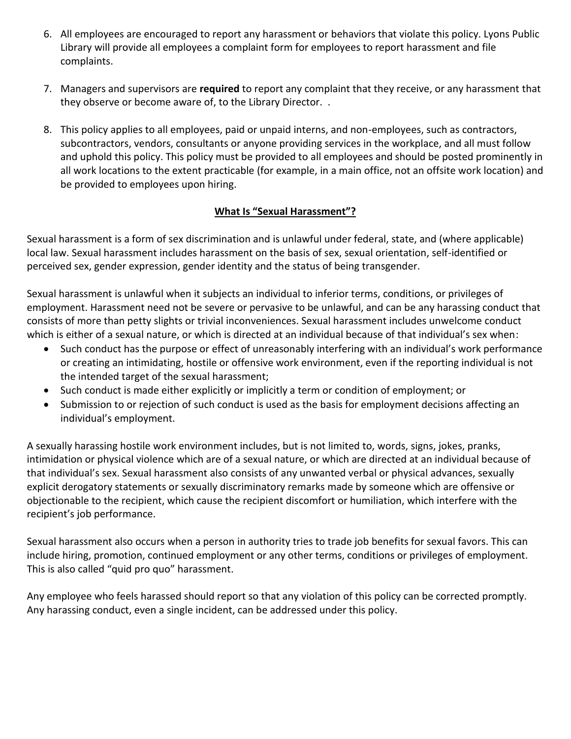- 6. All employees are encouraged to report any harassment or behaviors that violate this policy. Lyons Public Library will provide all employees a complaint form for employees to report harassment and file complaints.
- 7. Managers and supervisors are **required** to report any complaint that they receive, or any harassment that they observe or become aware of, to the Library Director. .
- 8. This policy applies to all employees, paid or unpaid interns, and non-employees, such as contractors, subcontractors, vendors, consultants or anyone providing services in the workplace, and all must follow and uphold this policy. This policy must be provided to all employees and should be posted prominently in all work locations to the extent practicable (for example, in a main office, not an offsite work location) and be provided to employees upon hiring.

### **What Is "Sexual Harassment"?**

Sexual harassment is a form of sex discrimination and is unlawful under federal, state, and (where applicable) local law. Sexual harassment includes harassment on the basis of sex, sexual orientation, self-identified or perceived sex, gender expression, gender identity and the status of being transgender.

Sexual harassment is unlawful when it subjects an individual to inferior terms, conditions, or privileges of employment. Harassment need not be severe or pervasive to be unlawful, and can be any harassing conduct that consists of more than petty slights or trivial inconveniences. Sexual harassment includes unwelcome conduct which is either of a sexual nature, or which is directed at an individual because of that individual's sex when:

- Such conduct has the purpose or effect of unreasonably interfering with an individual's work performance or creating an intimidating, hostile or offensive work environment, even if the reporting individual is not the intended target of the sexual harassment;
- Such conduct is made either explicitly or implicitly a term or condition of employment; or
- Submission to or rejection of such conduct is used as the basis for employment decisions affecting an individual's employment.

A sexually harassing hostile work environment includes, but is not limited to, words, signs, jokes, pranks, intimidation or physical violence which are of a sexual nature, or which are directed at an individual because of that individual's sex. Sexual harassment also consists of any unwanted verbal or physical advances, sexually explicit derogatory statements or sexually discriminatory remarks made by someone which are offensive or objectionable to the recipient, which cause the recipient discomfort or humiliation, which interfere with the recipient's job performance.

Sexual harassment also occurs when a person in authority tries to trade job benefits for sexual favors. This can include hiring, promotion, continued employment or any other terms, conditions or privileges of employment. This is also called "quid pro quo" harassment.

Any employee who feels harassed should report so that any violation of this policy can be corrected promptly. Any harassing conduct, even a single incident, can be addressed under this policy.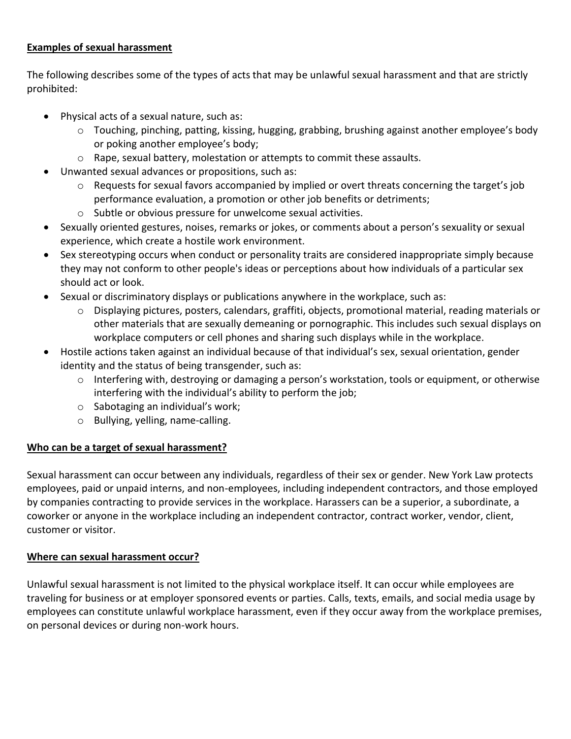#### **Examples of sexual harassment**

The following describes some of the types of acts that may be unlawful sexual harassment and that are strictly prohibited:

- Physical acts of a sexual nature, such as:
	- o Touching, pinching, patting, kissing, hugging, grabbing, brushing against another employee's body or poking another employee's body;
	- o Rape, sexual battery, molestation or attempts to commit these assaults.
- Unwanted sexual advances or propositions, such as:
	- o Requests for sexual favors accompanied by implied or overt threats concerning the target's job performance evaluation, a promotion or other job benefits or detriments;
	- o Subtle or obvious pressure for unwelcome sexual activities.
- Sexually oriented gestures, noises, remarks or jokes, or comments about a person's sexuality or sexual experience, which create a hostile work environment.
- Sex stereotyping occurs when conduct or personality traits are considered inappropriate simply because they may not conform to other people's ideas or perceptions about how individuals of a particular sex should act or look.
- Sexual or discriminatory displays or publications anywhere in the workplace, such as:
	- o Displaying pictures, posters, calendars, graffiti, objects, promotional material, reading materials or other materials that are sexually demeaning or pornographic. This includes such sexual displays on workplace computers or cell phones and sharing such displays while in the workplace.
- Hostile actions taken against an individual because of that individual's sex, sexual orientation, gender identity and the status of being transgender, such as:
	- o Interfering with, destroying or damaging a person's workstation, tools or equipment, or otherwise interfering with the individual's ability to perform the job;
	- $\circ$  Sabotaging an individual's work;
	- o Bullying, yelling, name-calling.

### **Who can be a target of sexual harassment?**

Sexual harassment can occur between any individuals, regardless of their sex or gender. New York Law protects employees, paid or unpaid interns, and non-employees, including independent contractors, and those employed by companies contracting to provide services in the workplace. Harassers can be a superior, a subordinate, a coworker or anyone in the workplace including an independent contractor, contract worker, vendor, client, customer or visitor.

# **Where can sexual harassment occur?**

Unlawful sexual harassment is not limited to the physical workplace itself. It can occur while employees are traveling for business or at employer sponsored events or parties. Calls, texts, emails, and social media usage by employees can constitute unlawful workplace harassment, even if they occur away from the workplace premises, on personal devices or during non-work hours.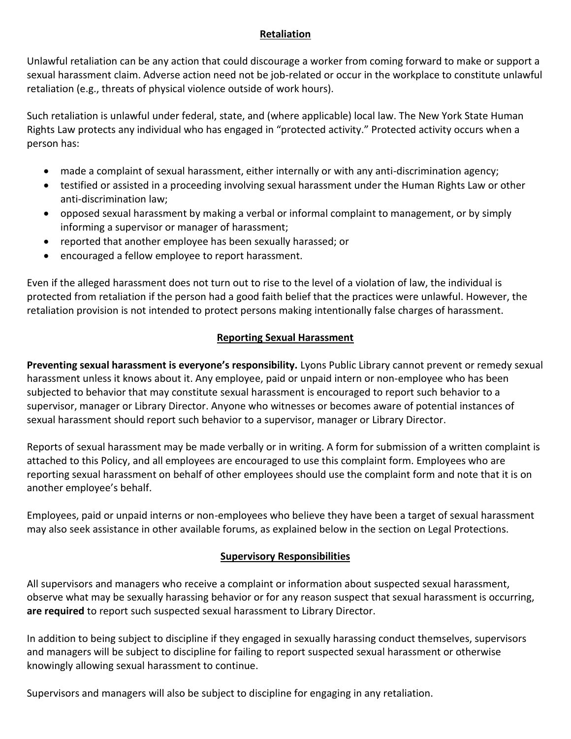### **Retaliation**

Unlawful retaliation can be any action that could discourage a worker from coming forward to make or support a sexual harassment claim. Adverse action need not be job-related or occur in the workplace to constitute unlawful retaliation (e.g., threats of physical violence outside of work hours).

Such retaliation is unlawful under federal, state, and (where applicable) local law. The New York State Human Rights Law protects any individual who has engaged in "protected activity." Protected activity occurs when a person has:

- made a complaint of sexual harassment, either internally or with any anti-discrimination agency;
- testified or assisted in a proceeding involving sexual harassment under the Human Rights Law or other anti-discrimination law;
- opposed sexual harassment by making a verbal or informal complaint to management, or by simply informing a supervisor or manager of harassment;
- reported that another employee has been sexually harassed; or
- encouraged a fellow employee to report harassment.

Even if the alleged harassment does not turn out to rise to the level of a violation of law, the individual is protected from retaliation if the person had a good faith belief that the practices were unlawful. However, the retaliation provision is not intended to protect persons making intentionally false charges of harassment.

# **Reporting Sexual Harassment**

**Preventing sexual harassment is everyone's responsibility.** Lyons Public Library cannot prevent or remedy sexual harassment unless it knows about it. Any employee, paid or unpaid intern or non-employee who has been subjected to behavior that may constitute sexual harassment is encouraged to report such behavior to a supervisor, manager or Library Director. Anyone who witnesses or becomes aware of potential instances of sexual harassment should report such behavior to a supervisor, manager or Library Director.

Reports of sexual harassment may be made verbally or in writing. A form for submission of a written complaint is attached to this Policy, and all employees are encouraged to use this complaint form. Employees who are reporting sexual harassment on behalf of other employees should use the complaint form and note that it is on another employee's behalf.

Employees, paid or unpaid interns or non-employees who believe they have been a target of sexual harassment may also seek assistance in other available forums, as explained below in the section on Legal Protections.

# **Supervisory Responsibilities**

All supervisors and managers who receive a complaint or information about suspected sexual harassment, observe what may be sexually harassing behavior or for any reason suspect that sexual harassment is occurring, **are required** to report such suspected sexual harassment to Library Director.

In addition to being subject to discipline if they engaged in sexually harassing conduct themselves, supervisors and managers will be subject to discipline for failing to report suspected sexual harassment or otherwise knowingly allowing sexual harassment to continue.

Supervisors and managers will also be subject to discipline for engaging in any retaliation.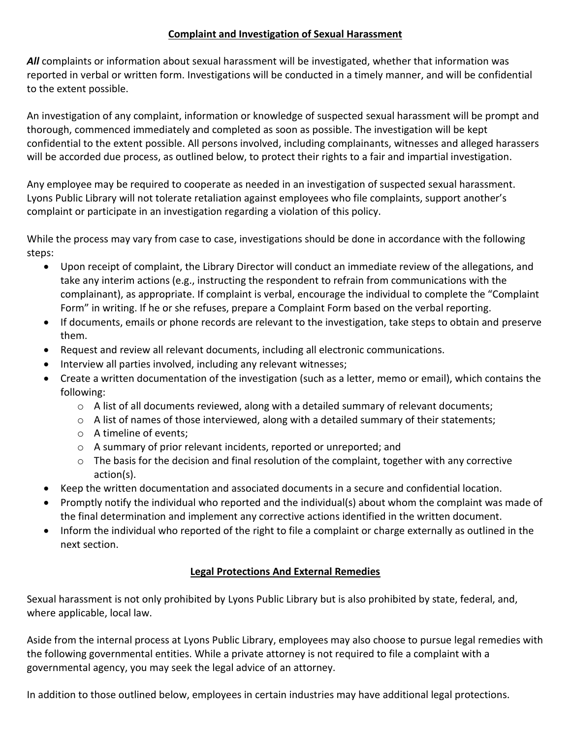#### **Complaint and Investigation of Sexual Harassment**

*All* complaints or information about sexual harassment will be investigated, whether that information was reported in verbal or written form. Investigations will be conducted in a timely manner, and will be confidential to the extent possible.

An investigation of any complaint, information or knowledge of suspected sexual harassment will be prompt and thorough, commenced immediately and completed as soon as possible. The investigation will be kept confidential to the extent possible. All persons involved, including complainants, witnesses and alleged harassers will be accorded due process, as outlined below, to protect their rights to a fair and impartial investigation.

Any employee may be required to cooperate as needed in an investigation of suspected sexual harassment. Lyons Public Library will not tolerate retaliation against employees who file complaints, support another's complaint or participate in an investigation regarding a violation of this policy.

While the process may vary from case to case, investigations should be done in accordance with the following steps:

- Upon receipt of complaint, the Library Director will conduct an immediate review of the allegations, and take any interim actions (e.g., instructing the respondent to refrain from communications with the complainant), as appropriate. If complaint is verbal, encourage the individual to complete the "Complaint Form" in writing. If he or she refuses, prepare a Complaint Form based on the verbal reporting.
- If documents, emails or phone records are relevant to the investigation, take steps to obtain and preserve them.
- Request and review all relevant documents, including all electronic communications.
- Interview all parties involved, including any relevant witnesses;
- Create a written documentation of the investigation (such as a letter, memo or email), which contains the following:
	- $\circ$  A list of all documents reviewed, along with a detailed summary of relevant documents;
	- $\circ$  A list of names of those interviewed, along with a detailed summary of their statements;
	- o A timeline of events;
	- o A summary of prior relevant incidents, reported or unreported; and
	- $\circ$  The basis for the decision and final resolution of the complaint, together with any corrective action(s).
- Keep the written documentation and associated documents in a secure and confidential location.
- Promptly notify the individual who reported and the individual(s) about whom the complaint was made of the final determination and implement any corrective actions identified in the written document.
- Inform the individual who reported of the right to file a complaint or charge externally as outlined in the next section.

### **Legal Protections And External Remedies**

Sexual harassment is not only prohibited by Lyons Public Library but is also prohibited by state, federal, and, where applicable, local law.

Aside from the internal process at Lyons Public Library, employees may also choose to pursue legal remedies with the following governmental entities. While a private attorney is not required to file a complaint with a governmental agency, you may seek the legal advice of an attorney.

In addition to those outlined below, employees in certain industries may have additional legal protections.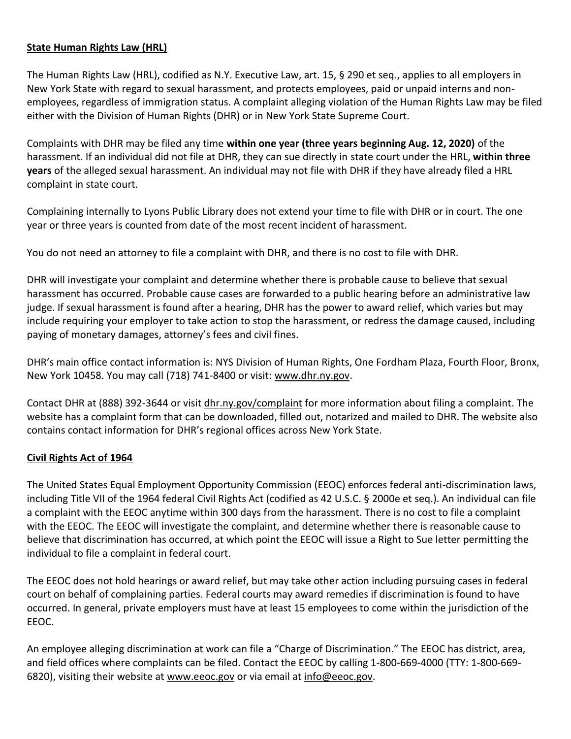#### **State Human Rights Law (HRL)**

The Human Rights Law (HRL), codified as N.Y. Executive Law, art. 15, § 290 et seq., applies to all employers in New York State with regard to sexual harassment, and protects employees, paid or unpaid interns and nonemployees, regardless of immigration status. A complaint alleging violation of the Human Rights Law may be filed either with the Division of Human Rights (DHR) or in New York State Supreme Court.

Complaints with DHR may be filed any time **within one year (three years beginning Aug. 12, 2020)** of the harassment. If an individual did not file at DHR, they can sue directly in state court under the HRL, **within three years** of the alleged sexual harassment. An individual may not file with DHR if they have already filed a HRL complaint in state court.

Complaining internally to Lyons Public Library does not extend your time to file with DHR or in court. The one year or three years is counted from date of the most recent incident of harassment.

You do not need an attorney to file a complaint with DHR, and there is no cost to file with DHR.

DHR will investigate your complaint and determine whether there is probable cause to believe that sexual harassment has occurred. Probable cause cases are forwarded to a public hearing before an administrative law judge. If sexual harassment is found after a hearing, DHR has the power to award relief, which varies but may include requiring your employer to take action to stop the harassment, or redress the damage caused, including paying of monetary damages, attorney's fees and civil fines.

DHR's main office contact information is: NYS Division of Human Rights, One Fordham Plaza, Fourth Floor, Bronx, New York 10458. You may call (718) 741-8400 or visit: [www.dhr.ny.gov.](http://www.dhr.ny.gov/)

Contact DHR at (888) 392-3644 or visi[t dhr.ny.gov/complaint](https://dhr.ny.gov/complaint) for more information about filing a complaint. The website has a complaint form that can be downloaded, filled out, notarized and mailed to DHR. The website also contains contact information for DHR's regional offices across New York State.

#### **Civil Rights Act of 1964**

The United States Equal Employment Opportunity Commission (EEOC) enforces federal anti-discrimination laws, including Title VII of the 1964 federal Civil Rights Act (codified as 42 U.S.C. § 2000e et seq.). An individual can file a complaint with the EEOC anytime within 300 days from the harassment. There is no cost to file a complaint with the EEOC. The EEOC will investigate the complaint, and determine whether there is reasonable cause to believe that discrimination has occurred, at which point the EEOC will issue a Right to Sue letter permitting the individual to file a complaint in federal court.

The EEOC does not hold hearings or award relief, but may take other action including pursuing cases in federal court on behalf of complaining parties. Federal courts may award remedies if discrimination is found to have occurred. In general, private employers must have at least 15 employees to come within the jurisdiction of the EEOC.

An employee alleging discrimination at work can file a "Charge of Discrimination." The EEOC has district, area, and field offices where complaints can be filed. Contact the EEOC by calling 1-800-669-4000 (TTY: 1-800-669 6820), visiting their website at [www.eeoc.gov](http://www.eeoc.gov/) or via email at [info@eeoc.gov.](mailto:info@eeoc.gov)